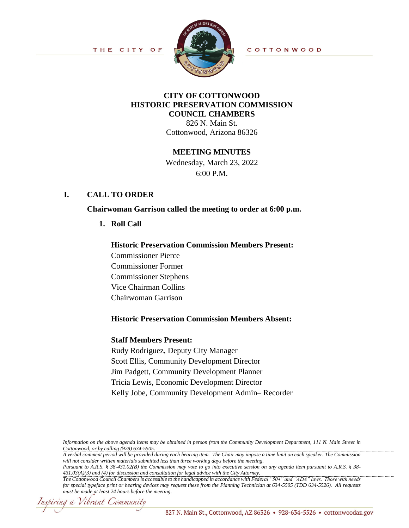THE CITY OF



COTTONWOOD

# **CITY OF COTTONWOOD HISTORIC PRESERVATION COMMISSION COUNCIL CHAMBERS**

826 N. Main St. Cottonwood, Arizona 86326

#### **MEETING MINUTES**

Wednesday, March 23, 2022 6:00 P.M.

### **I. CALL TO ORDER**

**Chairwoman Garrison called the meeting to order at 6:00 p.m.**

**1. Roll Call**

#### **Historic Preservation Commission Members Present:**

Commissioner Pierce Commissioner Former Commissioner Stephens Vice Chairman Collins Chairwoman Garrison

#### **Historic Preservation Commission Members Absent:**

#### **Staff Members Present:**

Rudy Rodriguez, Deputy City Manager Scott Ellis, Community Development Director Jim Padgett, Community Development Planner Tricia Lewis, Economic Development Director Kelly Jobe, Community Development Admin– Recorder

*Information on the above agenda items may be obtained in person from the Community Development Department, 111 N. Main Street in Cottonwood, or by calling (928) 634-5505.*

*A verbal comment period will be provided during each hearing item. The Chair may impose a time limit on each speaker. The Commission will not consider written materials submitted less than three working days before the meeting.*

*Pursuant to A.R.S. § 38-431.02(B) the Commission may vote to go into executive session on any agenda item pursuant to A.R.S. § 38- 431.03(A)(3) and (4) for discussion and consultation for legal advice with the City Attorney.* 

Inspiring a Vibrant Community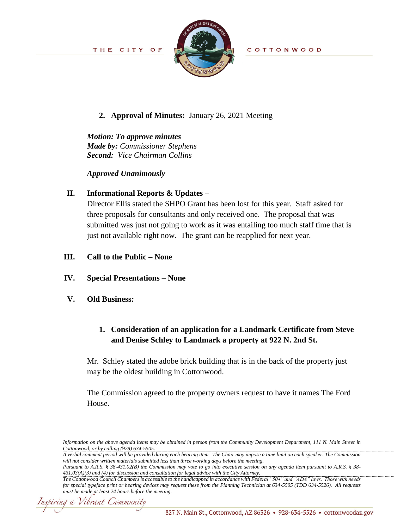

COTTONWOOD

### **2. Approval of Minutes:** January 26, 2021 Meeting

# *Motion: To approve minutes Made by: Commissioner Stephens Second: Vice Chairman Collins*

*Approved Unanimously*

## **II. Informational Reports & Updates –**

Director Ellis stated the SHPO Grant has been lost for this year. Staff asked for three proposals for consultants and only received one. The proposal that was submitted was just not going to work as it was entailing too much staff time that is just not available right now. The grant can be reapplied for next year.

### **III. Call to the Public – None**

**IV. Special Presentations – None**

### **V. Old Business:**

# **1. Consideration of an application for a Landmark Certificate from Steve and Denise Schley to Landmark a property at 922 N. 2nd St.**

Mr. Schley stated the adobe brick building that is in the back of the property just may be the oldest building in Cottonwood.

The Commission agreed to the property owners request to have it names The Ford House.

*Pursuant to A.R.S. § 38-431.02(B) the Commission may vote to go into executive session on any agenda item pursuant to A.R.S. § 38- 431.03(A)(3) and (4) for discussion and consultation for legal advice with the City Attorney.* 

Inspiring a Vibrant Community

*Information on the above agenda items may be obtained in person from the Community Development Department, 111 N. Main Street in Cottonwood, or by calling (928) 634-5505.*

*A verbal comment period will be provided during each hearing item. The Chair may impose a time limit on each speaker. The Commission will not consider written materials submitted less than three working days before the meeting.*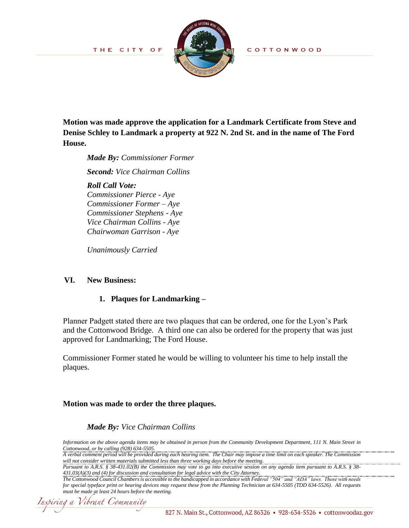THE CITY OF



COTTONWOOD

**Motion was made approve the application for a Landmark Certificate from Steve and Denise Schley to Landmark a property at 922 N. 2nd St. and in the name of The Ford House.**

*Made By: Commissioner Former*

*Second: Vice Chairman Collins*

*Roll Call Vote: Commissioner Pierce - Aye Commissioner Former – Aye Commissioner Stephens - Aye Vice Chairman Collins - Aye Chairwoman Garrison - Aye*

*Unanimously Carried*

#### **VI. New Business:**

#### **1. Plaques for Landmarking –**

Planner Padgett stated there are two plaques that can be ordered, one for the Lyon's Park and the Cottonwood Bridge. A third one can also be ordered for the property that was just approved for Landmarking; The Ford House.

Commissioner Former stated he would be willing to volunteer his time to help install the plaques.

### **Motion was made to order the three plaques.**

### *Made By: Vice Chairman Collins*

*Information on the above agenda items may be obtained in person from the Community Development Department, 111 N. Main Street in Cottonwood, or by calling (928) 634-5505.*

*A verbal comment period will be provided during each hearing item. The Chair may impose a time limit on each speaker. The Commission will not consider written materials submitted less than three working days before the meeting.*

*Pursuant to A.R.S. § 38-431.02(B) the Commission may vote to go into executive session on any agenda item pursuant to A.R.S. § 38- 431.03(A)(3) and (4) for discussion and consultation for legal advice with the City Attorney.* 

Inspiring a Vibrant Community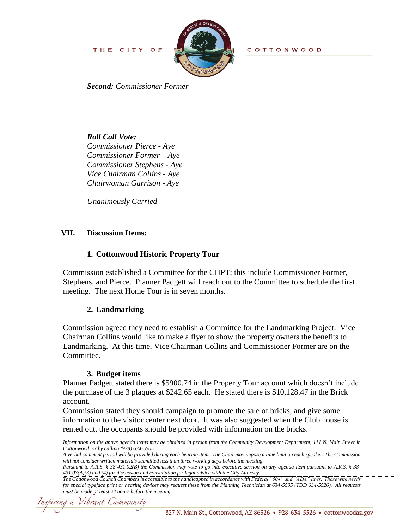THE CITY OF



COTTONWOOD

*Second: Commissioner Former* 

### *Roll Call Vote:*

*Commissioner Pierce - Aye Commissioner Former – Aye Commissioner Stephens - Aye Vice Chairman Collins - Aye Chairwoman Garrison - Aye*

*Unanimously Carried*

### **VII. Discussion Items:**

### **1. Cottonwood Historic Property Tour**

Commission established a Committee for the CHPT; this include Commissioner Former, Stephens, and Pierce. Planner Padgett will reach out to the Committee to schedule the first meeting. The next Home Tour is in seven months.

### **2. Landmarking**

Commission agreed they need to establish a Committee for the Landmarking Project. Vice Chairman Collins would like to make a flyer to show the property owners the benefits to Landmarking. At this time, Vice Chairman Collins and Commissioner Former are on the Committee.

#### **3. Budget items**

Planner Padgett stated there is \$5900.74 in the Property Tour account which doesn't include the purchase of the 3 plaques at \$242.65 each. He stated there is \$10,128.47 in the Brick account.

Commission stated they should campaign to promote the sale of bricks, and give some information to the visitor center next door. It was also suggested when the Club house is rented out, the occupants should be provided with information on the bricks.

*Pursuant to A.R.S. § 38-431.02(B) the Commission may vote to go into executive session on any agenda item pursuant to A.R.S. § 38- 431.03(A)(3) and (4) for discussion and consultation for legal advice with the City Attorney.* 

nspiring a Vibrant Community

*Information on the above agenda items may be obtained in person from the Community Development Department, 111 N. Main Street in Cottonwood, or by calling (928) 634-5505.*

*A verbal comment period will be provided during each hearing item. The Chair may impose a time limit on each speaker. The Commission will not consider written materials submitted less than three working days before the meeting.*

*The Cottonwood Council Chambers is accessible to the handicapped in accordance with Federal "504" and "ADA" laws. Those with needs for special typeface print or hearing devices may request these from the Planning Technician at 634-5505 (TDD 634-5526). All requests must be made at least 24 hours before the meeting.*